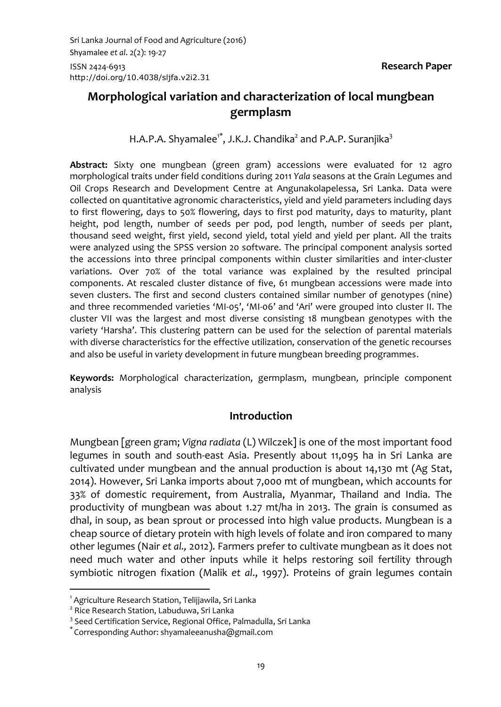# **Morphological variation and characterization of local mungbean germplasm**

H.A.P.A. Shyamalee<sup>1\*</sup>, J.K.J. Chandika<sup>2</sup> and P.A.P. Suranjika<sup>3</sup>

**Abstract:** Sixty one mungbean (green gram) accessions were evaluated for 12 agro morphological traits under field conditions during 2011 *Yala* seasons at the Grain Legumes and Oil Crops Research and Development Centre at Angunakolapelessa, Sri Lanka. Data were collected on quantitative agronomic characteristics, yield and yield parameters including days to first flowering, days to 50% flowering, days to first pod maturity, days to maturity, plant height, pod length, number of seeds per pod, pod length, number of seeds per plant, thousand seed weight, first yield, second yield, total yield and yield per plant. All the traits were analyzed using the SPSS version 20 software. The principal component analysis sorted the accessions into three principal components within cluster similarities and inter-cluster variations. Over 70% of the total variance was explained by the resulted principal components. At rescaled cluster distance of five, 61 mungbean accessions were made into seven clusters. The first and second clusters contained similar number of genotypes (nine) and three recommended varieties 'MI-05', 'MI-06' and 'Ari' were grouped into cluster II. The cluster VII was the largest and most diverse consisting 18 mungbean genotypes with the variety 'Harsha'. This clustering pattern can be used for the selection of parental materials with diverse characteristics for the effective utilization, conservation of the genetic recourses and also be useful in variety development in future mungbean breeding programmes.

**Keywords:** Morphological characterization, germplasm, mungbean, principle component analysis

### **Introduction**

Mungbean [green gram; *Vigna radiata* (L) Wilczek] is one of the most important food legumes in south and south-east Asia. Presently about 11,095 ha in Sri Lanka are cultivated under mungbean and the annual production is about 14,130 mt (Ag Stat, 2014). However, Sri Lanka imports about 7,000 mt of mungbean, which accounts for 33% of domestic requirement, from Australia, Myanmar, Thailand and India. The productivity of mungbean was about 1.27 mt/ha in 2013. The grain is consumed as dhal, in soup, as bean sprout or processed into high value products. Mungbean is a cheap source of dietary protein with high levels of folate and iron compared to many other legumes (Nair *et al.,* 2012). Farmers prefer to cultivate mungbean as it does not need much water and other inputs while it helps restoring soil fertility through symbiotic nitrogen fixation (Malik *et al*., 1997). Proteins of grain legumes contain

1

<sup>&</sup>lt;sup>1</sup> Agriculture Research Station, Telijjawila, Sri Lanka

<sup>&</sup>lt;sup>2</sup> Rice Research Station, Labuduwa, Sri Lanka

<sup>&</sup>lt;sup>3</sup> Seed Certification Service, Regional Office, Palmadulla, Sri Lanka

<sup>\*</sup> Corresponding Author: shyamaleeanusha@gmail.com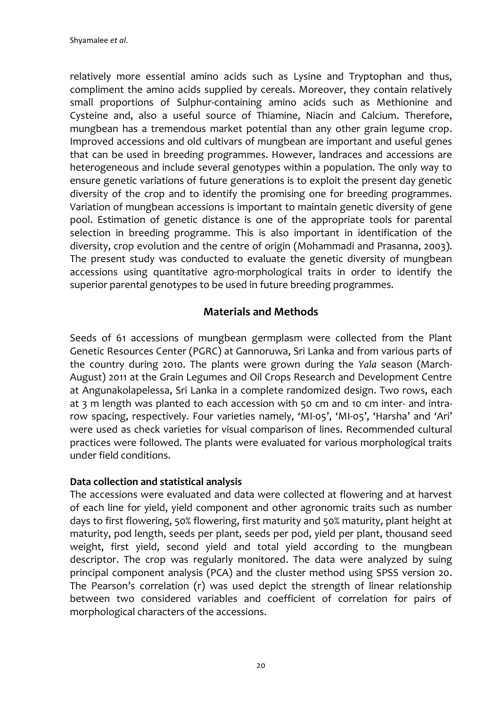relatively more essential amino acids such as Lysine and Tryptophan and thus, compliment the amino acids supplied by cereals. Moreover, they contain relatively small proportions of Sulphur-containing amino acids such as Methionine and Cysteine and, also a useful source of Thiamine, Niacin and Calcium. Therefore, mungbean has a tremendous market potential than any other grain legume crop. Improved accessions and old cultivars of mungbean are important and useful genes that can be used in breeding programmes. However, landraces and accessions are heterogeneous and include several genotypes within a population. The only way to ensure genetic variations of future generations is to exploit the present day genetic diversity of the crop and to identify the promising one for breeding programmes. Variation of mungbean accessions is important to maintain genetic diversity of gene pool. Estimation of genetic distance is one of the appropriate tools for parental selection in breeding programme. This is also important in identification of the diversity, crop evolution and the centre of origin (Mohammadi and Prasanna, 2003). The present study was conducted to evaluate the genetic diversity of mungbean accessions using quantitative agro-morphological traits in order to identify the superior parental genotypes to be used in future breeding programmes.

# **Materials and Methods**

Seeds of 61 accessions of mungbean germplasm were collected from the Plant Genetic Resources Center (PGRC) at Gannoruwa, Sri Lanka and from various parts of the country during 2010. The plants were grown during the *Yala* season (March-August) 2011 at the Grain Legumes and Oil Crops Research and Development Centre at Angunakolapelessa, Sri Lanka in a complete randomized design. Two rows, each at 3 m length was planted to each accession with 50 cm and 10 cm inter- and intrarow spacing, respectively. Four varieties namely, 'MI-05', 'MI-05', 'Harsha' and 'Ari' were used as check varieties for visual comparison of lines. Recommended cultural practices were followed. The plants were evaluated for various morphological traits under field conditions.

#### **Data collection and statistical analysis**

The accessions were evaluated and data were collected at flowering and at harvest of each line for yield, yield component and other agronomic traits such as number days to first flowering, 50% flowering, first maturity and 50% maturity, plant height at maturity, pod length, seeds per plant, seeds per pod, yield per plant, thousand seed weight, first yield, second yield and total yield according to the mungbean descriptor. The crop was regularly monitored. The data were analyzed by suing principal component analysis (PCA) and the cluster method using SPSS version 20. The Pearson's correlation (r) was used depict the strength of linear relationship between two considered variables and coefficient of correlation for pairs of morphological characters of the accessions.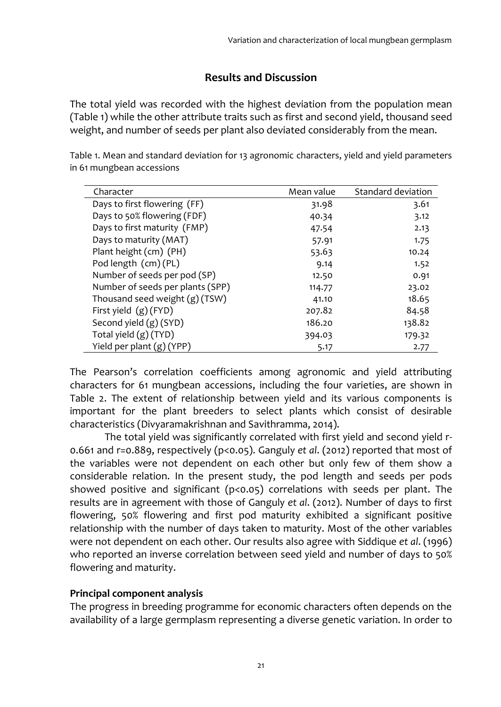# **Results and Discussion**

The total yield was recorded with the highest deviation from the population mean (Table 1) while the other attribute traits such as first and second yield, thousand seed weight, and number of seeds per plant also deviated considerably from the mean.

| Character                        | Mean value | Standard deviation |
|----------------------------------|------------|--------------------|
| Days to first flowering (FF)     | 31.98      | 3.61               |
| Days to 50% flowering (FDF)      | 40.34      | 3.12               |
| Days to first maturity (FMP)     | 47.54      | 2.13               |
| Days to maturity (MAT)           | 57.91      | 1.75               |
| Plant height (cm) (PH)           | 53.63      | 10.24              |
| Pod length (cm) (PL)             | 9.14       | 1.52               |
| Number of seeds per pod (SP)     | 12.50      | 0.91               |
| Number of seeds per plants (SPP) | 114.77     | 23.02              |
| Thousand seed weight (g) (TSW)   | 41.10      | 18.65              |
| First yield (g) (FYD)            | 207.82     | 84.58              |
| Second yield (g) (SYD)           | 186.20     | 138.82             |
| Total yield (g) (TYD)            | 394.03     | 179.32             |
| Yield per plant (g) (YPP)        | 5.17       | 2.77               |

Table 1. Mean and standard deviation for 13 agronomic characters, yield and yield parameters in 61 mungbean accessions

The Pearson's correlation coefficients among agronomic and yield attributing characters for 61 mungbean accessions, including the four varieties, are shown in Table 2. The extent of relationship between yield and its various components is important for the plant breeders to select plants which consist of desirable characteristics (Divyaramakrishnan and Savithramma, 2014).

The total yield was significantly correlated with first yield and second yield r-0.661 and r=0.889, respectively (p<0.05). Ganguly *et al*. (2012) reported that most of the variables were not dependent on each other but only few of them show a considerable relation. In the present study, the pod length and seeds per pods showed positive and significant (p<0.05) correlations with seeds per plant. The results are in agreement with those of Ganguly *et al*. (2012). Number of days to first flowering, 50% flowering and first pod maturity exhibited a significant positive relationship with the number of days taken to maturity. Most of the other variables were not dependent on each other. Our results also agree with Siddique *et al*. (1996) who reported an inverse correlation between seed yield and number of days to 50% flowering and maturity.

#### **Principal component analysis**

The progress in breeding programme for economic characters often depends on the availability of a large germplasm representing a diverse genetic variation. In order to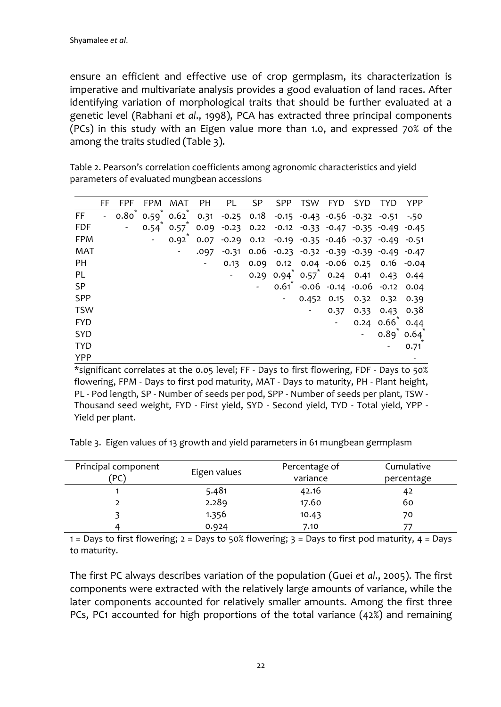ensure an efficient and effective use of crop germplasm, its characterization is imperative and multivariate analysis provides a good evaluation of land races. After identifying variation of morphological traits that should be further evaluated at a genetic level (Rabhani *et al*., 1998), PCA has extracted three principal components (PCs) in this study with an Eigen value more than 1.0, and expressed 70% of the among the traits studied (Table 3).

Table 2. Pearson's correlation coefficients among agronomic characteristics and yield parameters of evaluated mungbean accessions

|            | FF | FPF          | <b>FPM</b> | MAT                                | <b>PH</b> | PL                                                                                  | <b>SP</b> | <b>SPP</b> | TSW | <b>FYD</b>           | SYD. | <b>TYD</b>                                                                 | <b>YPP</b> |
|------------|----|--------------|------------|------------------------------------|-----------|-------------------------------------------------------------------------------------|-----------|------------|-----|----------------------|------|----------------------------------------------------------------------------|------------|
| FF         |    | $0.80^\circ$ |            |                                    |           | $0.59$ $0.62$ $0.31$ $-0.25$ $0.18$ $-0.15$ $-0.43$ $-0.56$ $-0.32$ $-0.51$ $-0.50$ |           |            |     |                      |      |                                                                            |            |
| <b>FDF</b> |    |              |            | $0.54^{\degree}$ 0.57 $^{\degree}$ |           | 0.09 -0.23 0.22 -0.12 -0.33 -0.47 -0.35 -0.49 -0.45                                 |           |            |     |                      |      |                                                                            |            |
| <b>FPM</b> |    |              |            | 0.92                               | 0.07      |                                                                                     |           |            |     |                      |      | $-0.29$ 0.12 $-0.19$ $-0.35$ $-0.46$ $-0.37$ $-0.49$ $-0.51$               |            |
| <b>MAT</b> |    |              |            |                                    | .097      |                                                                                     |           |            |     |                      |      | $-0.31$ $0.06$ $-0.23$ $-0.32$ $-0.39$ $-0.39$ $-0.49$ $-0.47$             |            |
| PH         |    |              |            |                                    |           | 0.13                                                                                |           |            |     |                      |      | 0.09 0.12 0.04 -0.06 0.25 0.16 -0.04                                       |            |
| PL         |    |              |            |                                    |           |                                                                                     |           |            |     |                      |      | $0.29$ $0.94$ <sup>*</sup> $0.57$ <sup>*</sup> $0.24$ $0.41$ $0.43$ $0.44$ |            |
| <b>SP</b>  |    |              |            |                                    |           |                                                                                     |           | 0.61       |     |                      |      | $-0.06$ $-0.14$ $-0.06$ $-0.12$                                            | 0.04       |
| <b>SPP</b> |    |              |            |                                    |           |                                                                                     |           |            |     | 0.452 0.15 0.32 0.32 |      |                                                                            | 0.39       |
| <b>TSW</b> |    |              |            |                                    |           |                                                                                     |           |            |     | 0.37                 | 0.33 | 0.43                                                                       | 0.38       |
| <b>FYD</b> |    |              |            |                                    |           |                                                                                     |           |            |     |                      |      | $0.24 0.66^*$                                                              | 0.44       |
| <b>SYD</b> |    |              |            |                                    |           |                                                                                     |           |            |     |                      |      | $0.89^*$ 0.64 <sup>*</sup>                                                 |            |
| <b>TYD</b> |    |              |            |                                    |           |                                                                                     |           |            |     |                      |      |                                                                            | 0.71       |
| <b>YPP</b> |    |              |            |                                    |           |                                                                                     |           |            |     |                      |      |                                                                            |            |

\*significant correlates at the 0.05 level; FF - Days to first flowering, FDF - Days to 50% flowering, FPM - Days to first pod maturity, MAT - Days to maturity, PH - Plant height, PL - Pod length, SP - Number of seeds per pod, SPP - Number of seeds per plant, TSW - Thousand seed weight, FYD - First yield, SYD - Second yield, TYD - Total yield, YPP - Yield per plant.

Table 3. Eigen values of 13 growth and yield parameters in 61 mungbean germplasm

| Principal component | Eigen values | Percentage of | Cumulative |  |  |
|---------------------|--------------|---------------|------------|--|--|
| `PC)                |              | variance      | percentage |  |  |
|                     | 5.481        | 42.16         | 42         |  |  |
|                     | 2.289        | 17.60         | 60         |  |  |
|                     | 1.356        | 10.43         | 70         |  |  |
|                     | 0.924        | 7.10          |            |  |  |

1 = Days to first flowering;  $2 =$  Days to 50% flowering;  $3 =$  Days to first pod maturity,  $4 =$  Days to maturity.

The first PC always describes variation of the population (Guei *et al*., 2005). The first components were extracted with the relatively large amounts of variance, while the later components accounted for relatively smaller amounts. Among the first three PCs, PC1 accounted for high proportions of the total variance (42%) and remaining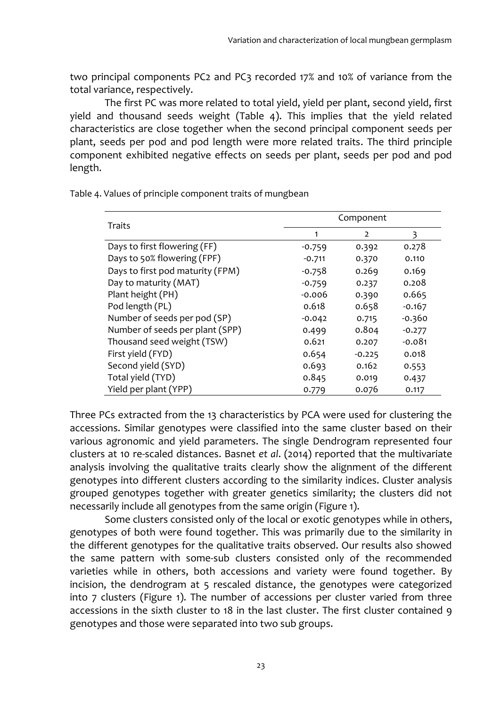two principal components PC2 and PC3 recorded 17% and 10% of variance from the total variance, respectively.

The first PC was more related to total yield, yield per plant, second yield, first yield and thousand seeds weight (Table 4). This implies that the yield related characteristics are close together when the second principal component seeds per plant, seeds per pod and pod length were more related traits. The third principle component exhibited negative effects on seeds per plant, seeds per pod and pod length.

| Traits                           |          | Component      |          |  |  |  |
|----------------------------------|----------|----------------|----------|--|--|--|
|                                  |          | $\overline{2}$ | 3        |  |  |  |
| Days to first flowering (FF)     | $-0.759$ | 0.392          | 0.278    |  |  |  |
| Days to 50% flowering (FPF)      | $-0.711$ | 0.370          | 0.110    |  |  |  |
| Days to first pod maturity (FPM) | $-0.758$ | 0.269          | 0.169    |  |  |  |
| Day to maturity (MAT)            | $-0.759$ | 0.237          | 0.208    |  |  |  |
| Plant height (PH)                | $-0.006$ | 0.390          | 0.665    |  |  |  |
| Pod length (PL)                  | 0.618    | 0.658          | $-0.167$ |  |  |  |
| Number of seeds per pod (SP)     | $-0.042$ | 0.715          | $-0.360$ |  |  |  |
| Number of seeds per plant (SPP)  | 0.499    | 0.804          | $-0.277$ |  |  |  |
| Thousand seed weight (TSW)       | 0.621    | 0.207          | $-0.081$ |  |  |  |
| First yield (FYD)                | 0.654    | $-0.225$       | 0.018    |  |  |  |
| Second yield (SYD)               | 0.693    | 0.162          | 0.553    |  |  |  |
| Total yield (TYD)                | 0.845    | 0.019          | 0.437    |  |  |  |
| Yield per plant (YPP)            | 0.779    | 0.076          | 0.117    |  |  |  |

Table 4. Values of principle component traits of mungbean

Three PCs extracted from the 13 characteristics by PCA were used for clustering the accessions. Similar genotypes were classified into the same cluster based on their various agronomic and yield parameters. The single Dendrogram represented four clusters at 10 re-scaled distances. Basnet *et al*. (2014) reported that the multivariate analysis involving the qualitative traits clearly show the alignment of the different genotypes into different clusters according to the similarity indices. Cluster analysis grouped genotypes together with greater genetics similarity; the clusters did not necessarily include all genotypes from the same origin (Figure 1).

Some clusters consisted only of the local or exotic genotypes while in others, genotypes of both were found together. This was primarily due to the similarity in the different genotypes for the qualitative traits observed. Our results also showed the same pattern with some-sub clusters consisted only of the recommended varieties while in others, both accessions and variety were found together. By incision, the dendrogram at 5 rescaled distance, the genotypes were categorized into 7 clusters (Figure 1). The number of accessions per cluster varied from three accessions in the sixth cluster to 18 in the last cluster. The first cluster contained 9 genotypes and those were separated into two sub groups.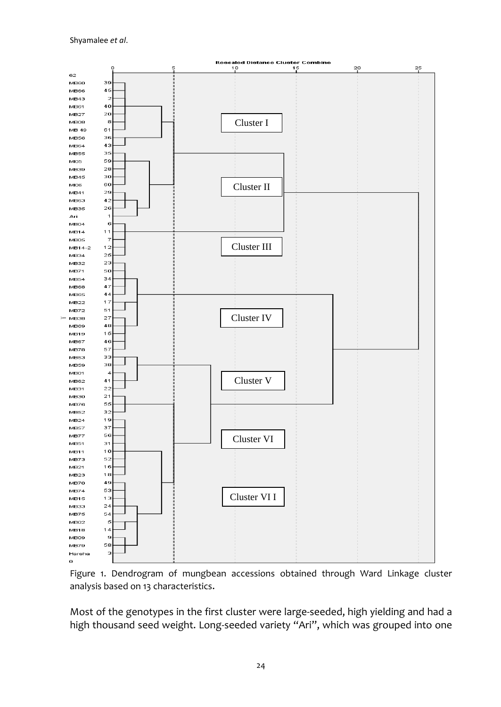

Figure 1. Dendrogram of mungbean accessions obtained through Ward Linkage cluster analysis based on 13 characteristics.

Most of the genotypes in the first cluster were large-seeded, high yielding and had a high thousand seed weight. Long-seeded variety "Ari", which was grouped into one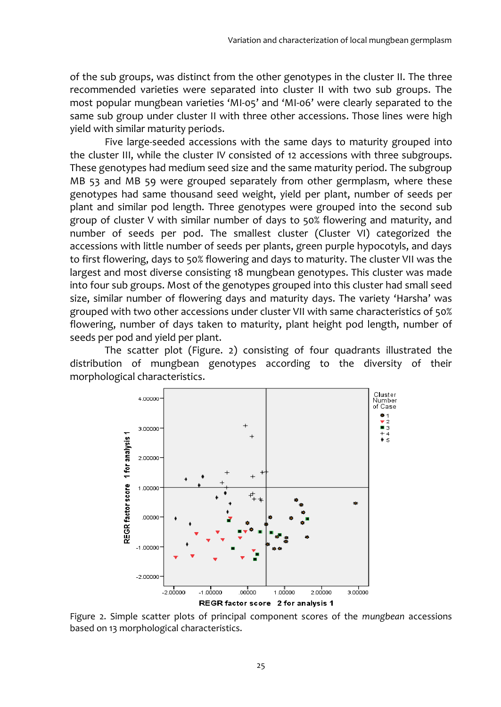of the sub groups, was distinct from the other genotypes in the cluster II. The three recommended varieties were separated into cluster II with two sub groups. The most popular mungbean varieties 'MI-05' and 'MI-06' were clearly separated to the same sub group under cluster II with three other accessions. Those lines were high yield with similar maturity periods.

Five large-seeded accessions with the same days to maturity grouped into the cluster III, while the cluster IV consisted of 12 accessions with three subgroups. These genotypes had medium seed size and the same maturity period. The subgroup MB 53 and MB 59 were grouped separately from other germplasm, where these genotypes had same thousand seed weight, yield per plant, number of seeds per plant and similar pod length. Three genotypes were grouped into the second sub group of cluster V with similar number of days to 50% flowering and maturity, and number of seeds per pod. The smallest cluster (Cluster VI) categorized the accessions with little number of seeds per plants, green purple hypocotyls, and days to first flowering, days to 50% flowering and days to maturity. The cluster VII was the largest and most diverse consisting 18 mungbean genotypes. This cluster was made into four sub groups. Most of the genotypes grouped into this cluster had small seed size, similar number of flowering days and maturity days. The variety 'Harsha' was grouped with two other accessions under cluster VII with same characteristics of 50% flowering, number of days taken to maturity, plant height pod length, number of seeds per pod and yield per plant.

The scatter plot (Figure. 2) consisting of four quadrants illustrated the distribution of mungbean genotypes according to the diversity of their morphological characteristics.



Figure 2. Simple scatter plots of principal component scores of the *mungbean* accessions based on 13 morphological characteristics.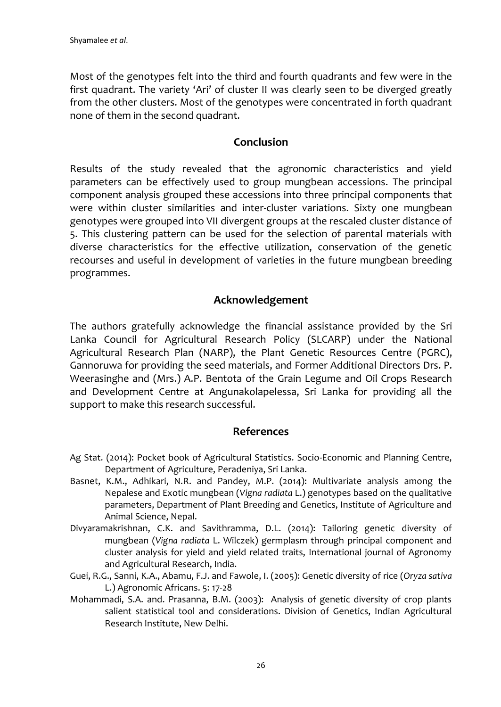Most of the genotypes felt into the third and fourth quadrants and few were in the first quadrant. The variety 'Ari' of cluster II was clearly seen to be diverged greatly from the other clusters. Most of the genotypes were concentrated in forth quadrant none of them in the second quadrant.

## **Conclusion**

Results of the study revealed that the agronomic characteristics and yield parameters can be effectively used to group mungbean accessions. The principal component analysis grouped these accessions into three principal components that were within cluster similarities and inter-cluster variations. Sixty one mungbean genotypes were grouped into VII divergent groups at the rescaled cluster distance of 5. This clustering pattern can be used for the selection of parental materials with diverse characteristics for the effective utilization, conservation of the genetic recourses and useful in development of varieties in the future mungbean breeding programmes.

# **Acknowledgement**

The authors gratefully acknowledge the financial assistance provided by the Sri Lanka Council for Agricultural Research Policy (SLCARP) under the National Agricultural Research Plan (NARP), the Plant Genetic Resources Centre (PGRC), Gannoruwa for providing the seed materials, and Former Additional Directors Drs. P. Weerasinghe and (Mrs.) A.P. Bentota of the Grain Legume and Oil Crops Research and Development Centre at Angunakolapelessa, Sri Lanka for providing all the support to make this research successful.

### **References**

- Ag Stat. (2014): Pocket book of Agricultural Statistics. Socio-Economic and Planning Centre, Department of Agriculture, Peradeniya, Sri Lanka.
- Basnet, K.M., Adhikari, N.R. and Pandey, M.P. (2014): Multivariate analysis among the Nepalese and Exotic mungbean (*Vigna radiata* L.) genotypes based on the qualitative parameters, Department of Plant Breeding and Genetics, Institute of Agriculture and Animal Science, Nepal.
- Divyaramakrishnan, C.K. and Savithramma, D.L. (2014): Tailoring genetic diversity of mungbean (*Vigna radiata* L. Wilczek) germplasm through principal component and cluster analysis for yield and yield related traits, International journal of Agronomy and Agricultural Research, India.
- Guei, R.G., Sanni, K.A., Abamu, F.J. and Fawole, I. (2005): Genetic diversity of rice (*Oryza sativa*  L.) Agronomic Africans. 5: 17-28
- Mohammadi, S.A. and. Prasanna, B.M. (2003): Analysis of genetic diversity of crop plants salient statistical tool and considerations. Division of Genetics, Indian Agricultural Research Institute, New Delhi.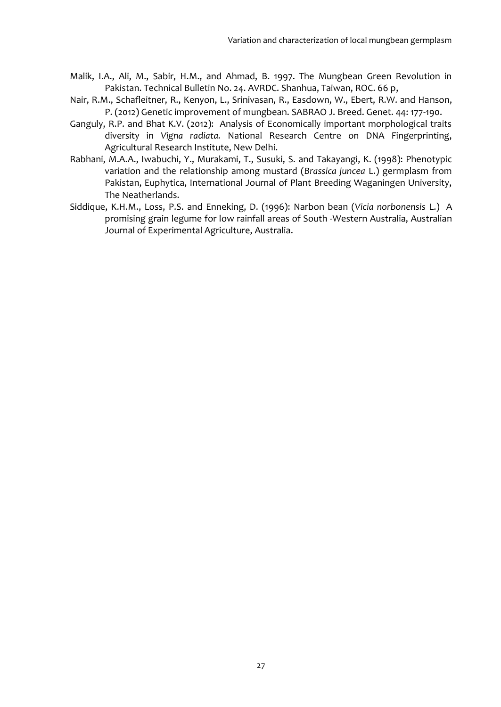- Malik, I.A., Ali, M., Sabir, H.M., and Ahmad, B. 1997. The Mungbean Green Revolution in Pakistan. Technical Bulletin No. 24. AVRDC. Shanhua, Taiwan, ROC. 66 p,
- Nair, R.M., Schafleitner, R., Kenyon, L., Srinivasan, R., Easdown, W., Ebert, R.W. and Hanson, P. (2012) Genetic improvement of mungbean. SABRAO J. Breed. Genet. 44: 177-190.
- Ganguly, R.P. and Bhat K.V. (2012): Analysis of Economically important morphological traits diversity in *Vigna radiata.* National Research Centre on DNA Fingerprinting, Agricultural Research Institute, New Delhi.
- Rabhani, M.A.A., Iwabuchi, Y., Murakami, T., Susuki, S. and Takayangi, K. (1998): Phenotypic variation and the relationship among mustard (*Brassica juncea* L.) germplasm from Pakistan, Euphytica, International Journal of Plant Breeding Waganingen University, The Neatherlands.
- Siddique, K.H.M., Loss, P.S. and Enneking, D. (1996): Narbon bean (*Vicia norbonensis* L.) A promising grain legume for low rainfall areas of South -Western Australia, Australian Journal of Experimental Agriculture, Australia.